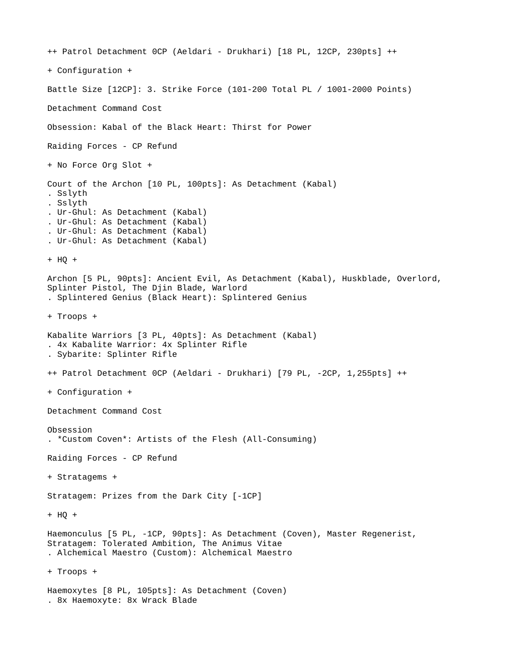++ Patrol Detachment 0CP (Aeldari - Drukhari) [18 PL, 12CP, 230pts] ++ + Configuration + Battle Size [12CP]: 3. Strike Force (101-200 Total PL / 1001-2000 Points) Detachment Command Cost Obsession: Kabal of the Black Heart: Thirst for Power Raiding Forces - CP Refund + No Force Org Slot + Court of the Archon [10 PL, 100pts]: As Detachment (Kabal) . Sslyth . Sslyth . Ur-Ghul: As Detachment (Kabal) . Ur-Ghul: As Detachment (Kabal) . Ur-Ghul: As Detachment (Kabal) . Ur-Ghul: As Detachment (Kabal) + HQ + Archon [5 PL, 90pts]: Ancient Evil, As Detachment (Kabal), Huskblade, Overlord, Splinter Pistol, The Djin Blade, Warlord . Splintered Genius (Black Heart): Splintered Genius + Troops + Kabalite Warriors [3 PL, 40pts]: As Detachment (Kabal) . 4x Kabalite Warrior: 4x Splinter Rifle . Sybarite: Splinter Rifle ++ Patrol Detachment 0CP (Aeldari - Drukhari) [79 PL, -2CP, 1,255pts] ++ + Configuration + Detachment Command Cost Obsession . \*Custom Coven\*: Artists of the Flesh (All-Consuming) Raiding Forces - CP Refund + Stratagems + Stratagem: Prizes from the Dark City [-1CP] + HQ + Haemonculus [5 PL, -1CP, 90pts]: As Detachment (Coven), Master Regenerist, Stratagem: Tolerated Ambition, The Animus Vitae . Alchemical Maestro (Custom): Alchemical Maestro + Troops + Haemoxytes [8 PL, 105pts]: As Detachment (Coven) . 8x Haemoxyte: 8x Wrack Blade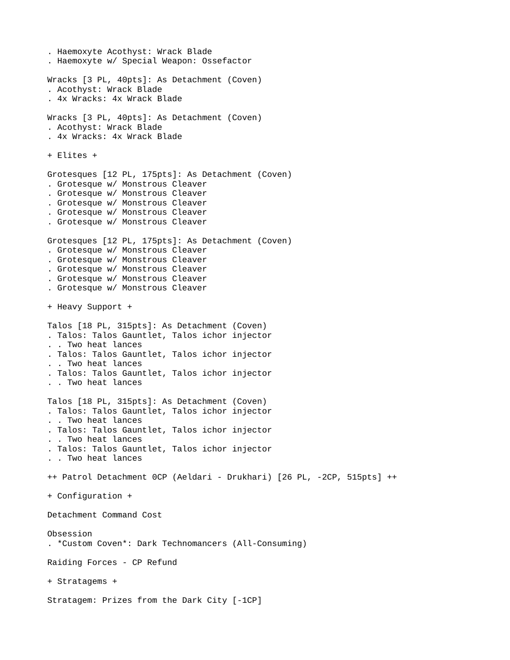```
. Haemoxyte Acothyst: Wrack Blade
. Haemoxyte w/ Special Weapon: Ossefactor
Wracks [3 PL, 40pts]: As Detachment (Coven)
. Acothyst: Wrack Blade
. 4x Wracks: 4x Wrack Blade
Wracks [3 PL, 40pts]: As Detachment (Coven)
. Acothyst: Wrack Blade
. 4x Wracks: 4x Wrack Blade
+ Elites +
Grotesques [12 PL, 175pts]: As Detachment (Coven)
. Grotesque w/ Monstrous Cleaver
. Grotesque w/ Monstrous Cleaver
. Grotesque w/ Monstrous Cleaver
. Grotesque w/ Monstrous Cleaver
. Grotesque w/ Monstrous Cleaver
Grotesques [12 PL, 175pts]: As Detachment (Coven)
. Grotesque w/ Monstrous Cleaver
. Grotesque w/ Monstrous Cleaver
. Grotesque w/ Monstrous Cleaver
. Grotesque w/ Monstrous Cleaver
. Grotesque w/ Monstrous Cleaver
+ Heavy Support +
Talos [18 PL, 315pts]: As Detachment (Coven)
. Talos: Talos Gauntlet, Talos ichor injector
. . Two heat lances
. Talos: Talos Gauntlet, Talos ichor injector
. . Two heat lances
. Talos: Talos Gauntlet, Talos ichor injector
. . Two heat lances
Talos [18 PL, 315pts]: As Detachment (Coven)
. Talos: Talos Gauntlet, Talos ichor injector
. . Two heat lances
. Talos: Talos Gauntlet, Talos ichor injector
. . Two heat lances
. Talos: Talos Gauntlet, Talos ichor injector
. . Two heat lances
++ Patrol Detachment 0CP (Aeldari - Drukhari) [26 PL, -2CP, 515pts] ++
+ Configuration +
Detachment Command Cost
Obsession
. *Custom Coven*: Dark Technomancers (All-Consuming)
Raiding Forces - CP Refund
+ Stratagems +
Stratagem: Prizes from the Dark City [-1CP]
```